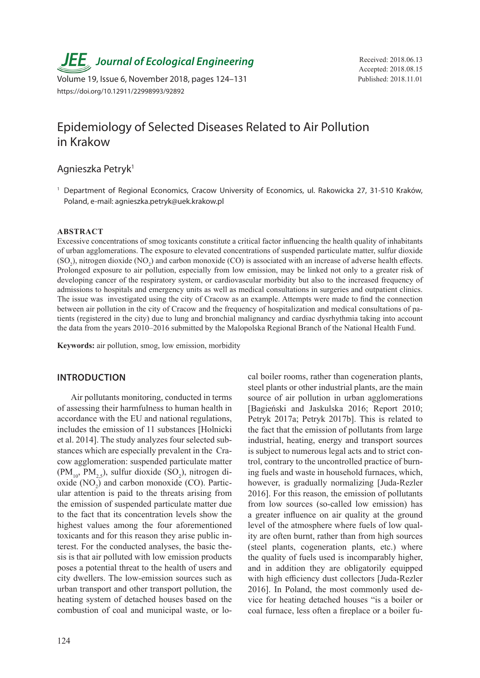**JEE** Journal of Ecological Engineering Received: 2018.06.13

Volume 19, Issue 6, November 2018, pages 124-131 Published: 2018.11.01 https://doi.org/10.12911/22998993/92892

Accepted: 2018.08.15

# Epidemiology of Selected Diseases Related to Air Pollution in Krakow

## Agnieszka Petryk1

<sup>1</sup> Department of Regional Economics, Cracow University of Economics, ul. Rakowicka 27, 31-510 Kraków, Poland, e-mail: agnieszka.petryk@uek.krakow.pl

#### **ABSTRACT**

Excessive concentrations of smog toxicants constitute a critical factor influencing the health quality of inhabitants of urban agglomerations. The exposure to elevated concentrations of suspended particulate matter, sulfur dioxide  $(SO_2)$ , nitrogen dioxide  $(NO_2)$  and carbon monoxide  $(CO)$  is associated with an increase of adverse health effects. Prolonged exposure to air pollution, especially from low emission, may be linked not only to a greater risk of developing cancer of the respiratory system, or cardiovascular morbidity but also to the increased frequency of admissions to hospitals and emergency units as well as medical consultations in surgeries and outpatient clinics. The issue was investigated using the city of Cracow as an example. Attempts were made to find the connection between air pollution in the city of Cracow and the frequency of hospitalization and medical consultations of patients (registered in the city) due to lung and bronchial malignancy and cardiac dysrhythmia taking into account the data from the years 2010–2016 submitted by the Malopolska Regional Branch of the National Health Fund.

**Keywords:** air pollution, smog, low emission, morbidity

#### **INTRODUCTION**

Air pollutants monitoring, conducted in terms of assessing their harmfulness to human health in accordance with the EU and national regulations, includes the emission of 11 substances [Holnicki et al. 2014]. The study analyzes four selected substances which are especially prevalent in the Cracow agglomeration: suspended particulate matter  $(PM_{10}, PM_{2,5})$ , sulfur dioxide  $(SO_2)$ , nitrogen dioxide  $(NO<sub>2</sub>)$  and carbon monoxide  $(CO)$ . Particular attention is paid to the threats arising from the emission of suspended particulate matter due to the fact that its concentration levels show the highest values among the four aforementioned toxicants and for this reason they arise public interest. For the conducted analyses, the basic thesis is that air polluted with low emission products poses a potential threat to the health of users and city dwellers. The low-emission sources such as urban transport and other transport pollution, the heating system of detached houses based on the combustion of coal and municipal waste, or local boiler rooms, rather than cogeneration plants, steel plants or other industrial plants, are the main source of air pollution in urban agglomerations [Bagieński and Jaskulska 2016; Report 2010; Petryk 2017a; Petryk 2017b]. This is related to the fact that the emission of pollutants from large industrial, heating, energy and transport sources is subject to numerous legal acts and to strict control, contrary to the uncontrolled practice of burning fuels and waste in household furnaces, which, however, is gradually normalizing [Juda-Rezler 2016]. For this reason, the emission of pollutants from low sources (so-called low emission) has a greater influence on air quality at the ground level of the atmosphere where fuels of low quality are often burnt, rather than from high sources (steel plants, cogeneration plants, etc.) where the quality of fuels used is incomparably higher, and in addition they are obligatorily equipped with high efficiency dust collectors [Juda-Rezler 2016]. In Poland, the most commonly used device for heating detached houses "is a boiler or coal furnace, less often a fireplace or a boiler fu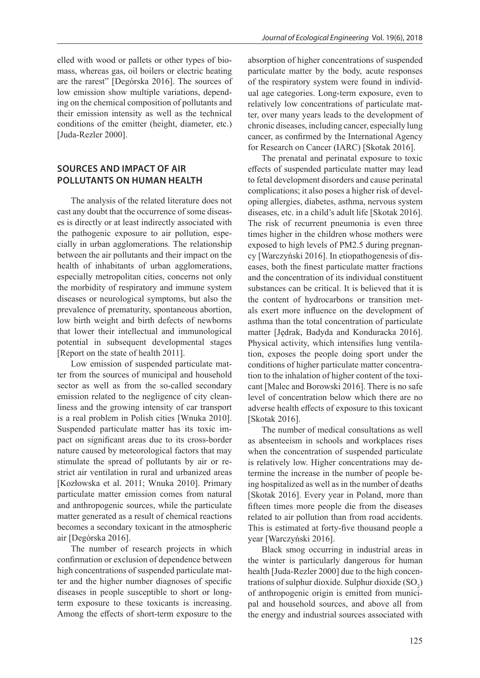elled with wood or pallets or other types of biomass, whereas gas, oil boilers or electric heating are the rarest" [Degórska 2016]. The sources of low emission show multiple variations, depending on the chemical composition of pollutants and their emission intensity as well as the technical conditions of the emitter (height, diameter, etc.) [Juda-Rezler 2000].

## **SOURCES AND IMPACT OF AIR POLLUTANTS ON HUMAN HEALTH**

The analysis of the related literature does not cast any doubt that the occurrence of some diseases is directly or at least indirectly associated with the pathogenic exposure to air pollution, especially in urban agglomerations. The relationship between the air pollutants and their impact on the health of inhabitants of urban agglomerations, especially metropolitan cities, concerns not only the morbidity of respiratory and immune system diseases or neurological symptoms, but also the prevalence of prematurity, spontaneous abortion, low birth weight and birth defects of newborns that lower their intellectual and immunological potential in subsequent developmental stages [Report on the state of health 2011].

Low emission of suspended particulate matter from the sources of municipal and household sector as well as from the so-called secondary emission related to the negligence of city cleanliness and the growing intensity of car transport is a real problem in Polish cities [Wnuka 2010]. Suspended particulate matter has its toxic impact on significant areas due to its cross-border nature caused by meteorological factors that may stimulate the spread of pollutants by air or restrict air ventilation in rural and urbanized areas [Kozłowska et al. 2011; Wnuka 2010]. Primary particulate matter emission comes from natural and anthropogenic sources, while the particulate matter generated as a result of chemical reactions becomes a secondary toxicant in the atmospheric air [Degórska 2016].

The number of research projects in which confirmation or exclusion of dependence between high concentrations of suspended particulate matter and the higher number diagnoses of specific diseases in people susceptible to short or longterm exposure to these toxicants is increasing. Among the effects of short-term exposure to the absorption of higher concentrations of suspended particulate matter by the body, acute responses of the respiratory system were found in individual age categories. Long-term exposure, even to relatively low concentrations of particulate matter, over many years leads to the development of chronic diseases, including cancer, especially lung cancer, as confirmed by the International Agency for Research on Cancer (IARC) [Skotak 2016].

The prenatal and perinatal exposure to toxic effects of suspended particulate matter may lead to fetal development disorders and cause perinatal complications; it also poses a higher risk of developing allergies, diabetes, asthma, nervous system diseases, etc. in a child's adult life [Skotak 2016]. The risk of recurrent pneumonia is even three times higher in the children whose mothers were exposed to high levels of PM2.5 during pregnancy [Warczyński 2016]. In etiopathogenesis of diseases, both the finest particulate matter fractions and the concentration of its individual constituent substances can be critical. It is believed that it is the content of hydrocarbons or transition metals exert more influence on the development of asthma than the total concentration of particulate matter [Jędrak, Badyda and Konduracka 2016]. Physical activity, which intensifies lung ventilation, exposes the people doing sport under the conditions of higher particulate matter concentration to the inhalation of higher content of the toxicant [Malec and Borowski 2016]. There is no safe level of concentration below which there are no adverse health effects of exposure to this toxicant [Skotak 2016].

The number of medical consultations as well as absenteeism in schools and workplaces rises when the concentration of suspended particulate is relatively low. Higher concentrations may determine the increase in the number of people being hospitalized as well as in the number of deaths [Skotak 2016]. Every year in Poland, more than fifteen times more people die from the diseases related to air pollution than from road accidents. This is estimated at forty-five thousand people a year [Warczyński 2016].

Black smog occurring in industrial areas in the winter is particularly dangerous for human health [Juda-Rezler 2000] due to the high concentrations of sulphur dioxide. Sulphur dioxide  $(SO_2)$ of anthropogenic origin is emitted from municipal and household sources, and above all from the energy and industrial sources associated with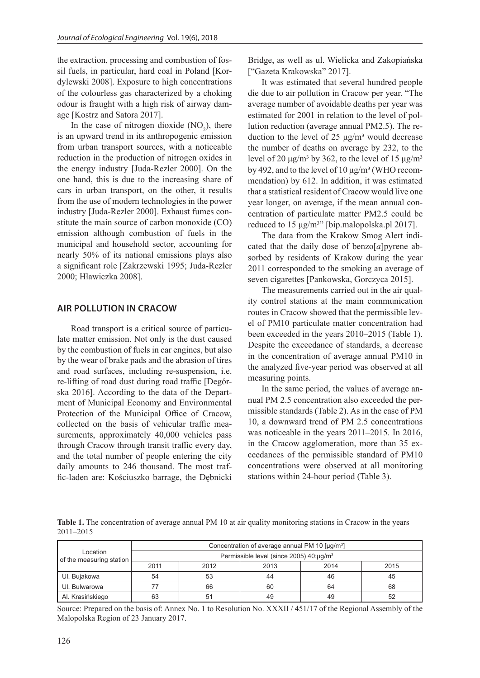the extraction, processing and combustion of fossil fuels, in particular, hard coal in Poland [Kordylewski 2008]. Exposure to high concentrations of the colourless gas characterized by a choking odour is fraught with a high risk of airway damage [Kostrz and Satora 2017].

In the case of nitrogen dioxide  $(NO<sub>2</sub>)$ , there is an upward trend in its anthropogenic emission from urban transport sources, with a noticeable reduction in the production of nitrogen oxides in the energy industry [Juda-Rezler 2000]. On the one hand, this is due to the increasing share of cars in urban transport, on the other, it results from the use of modern technologies in the power industry [Juda-Rezler 2000]. Exhaust fumes constitute the main source of carbon monoxide (CO) emission although combustion of fuels in the municipal and household sector, accounting for nearly 50% of its national emissions plays also a significant role [Zakrzewski 1995; Juda-Rezler 2000; Hławiczka 2008].

### **AIR POLLUTION IN CRACOW**

Road transport is a critical source of particulate matter emission. Not only is the dust caused by the combustion of fuels in car engines, but also by the wear of brake pads and the abrasion of tires and road surfaces, including re-suspension, i.e. re-lifting of road dust during road traffic [Degórska 2016]. According to the data of the Department of Municipal Economy and Environmental Protection of the Municipal Office of Cracow, collected on the basis of vehicular traffic measurements, approximately 40,000 vehicles pass through Cracow through transit traffic every day, and the total number of people entering the city daily amounts to 246 thousand. The most traffic-laden are: Kościuszko barrage, the Dębnicki

Bridge, as well as ul. Wielicka and Zakopiańska ["Gazeta Krakowska" 2017].

It was estimated that several hundred people die due to air pollution in Cracow per year. "The average number of avoidable deaths per year was estimated for 2001 in relation to the level of pollution reduction (average annual PM2.5). The reduction to the level of 25  $\mu$ g/m<sup>3</sup> would decrease the number of deaths on average by 232, to the level of 20 μg/m<sup>3</sup> by 362, to the level of 15 μg/m<sup>3</sup> by 492, and to the level of  $10 \mu g/m^3$  (WHO recommendation) by 612. In addition, it was estimated that a statistical resident of Cracow would live one year longer, on average, if the mean annual concentration of particulate matter PM2.5 could be reduced to 15  $\mu$ g/m<sup>3</sup>" [bip.malopolska.pl 2017].

The data from the Krakow Smog Alert indicated that the daily dose of benzo $[a]$ pyrene absorbed by residents of Krakow during the year 2011 corresponded to the smoking an average of seven cigarettes [Pankowska, Gorczyca 2015].

The measurements carried out in the air quality control stations at the main communication routes in Cracow showed that the permissible level of PM10 particulate matter concentration had been exceeded in the years 2010–2015 (Table 1). Despite the exceedance of standards, a decrease in the concentration of average annual PM10 in the analyzed five-year period was observed at all measuring points.

In the same period, the values of average annual PM 2.5 concentration also exceeded the permissible standards (Table 2). As in the case of PM 10, a downward trend of PM 2.5 concentrations was noticeable in the years 2011–2015. In 2016, in the Cracow agglomeration, more than 35 exceedances of the permissible standard of PM10 concentrations were observed at all monitoring stations within 24-hour period (Table 3).

**Table 1.** The concentration of average annual PM 10 at air quality monitoring stations in Cracow in the years 2011–2015

|                                      | Concentration of average annual PM 10 [µg/m <sup>3</sup> ] |                      |    |    |    |  |  |  |  |  |  |  |  |
|--------------------------------------|------------------------------------------------------------|----------------------|----|----|----|--|--|--|--|--|--|--|--|
| Location<br>of the measuring station | Permissible level (since 2005) 40:µg/m <sup>3</sup>        |                      |    |    |    |  |  |  |  |  |  |  |  |
|                                      | 2011                                                       | 2012<br>2014<br>2013 |    |    |    |  |  |  |  |  |  |  |  |
| UI. Bujakowa                         | 54                                                         | 53                   | 44 | 46 | 45 |  |  |  |  |  |  |  |  |
| UI. Bulwarowa                        |                                                            | 66                   | 60 | 64 | 68 |  |  |  |  |  |  |  |  |
| Al. Krasińskiego                     | 63                                                         |                      | 49 | 49 | 52 |  |  |  |  |  |  |  |  |

Source: Prepared on the basis of: Annex No. 1 to Resolution No. XXXII / 451/17 of the Regional Assembly of the Malopolska Region of 23 January 2017.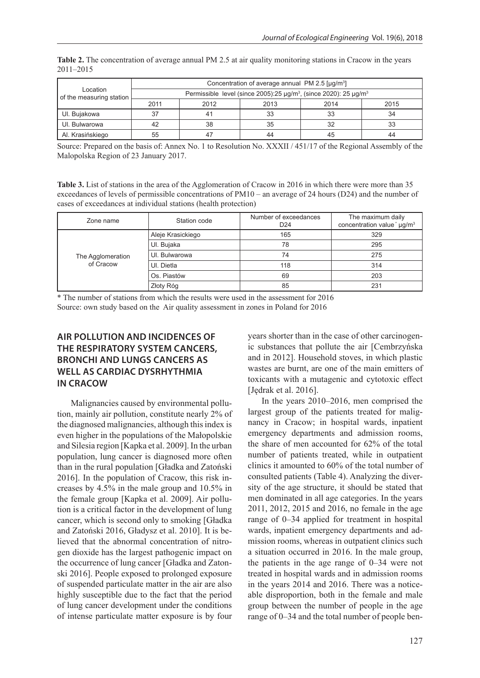|                                      | Concentration of average annual PM 2.5 [µg/m <sup>3</sup> ]                                        |      |      |      |      |  |  |  |  |  |  |  |  |
|--------------------------------------|----------------------------------------------------------------------------------------------------|------|------|------|------|--|--|--|--|--|--|--|--|
| Location<br>of the measuring station | Permissible level (since 2005):25 $\mu$ g/m <sup>3</sup> , (since 2020): 25 $\mu$ g/m <sup>3</sup> |      |      |      |      |  |  |  |  |  |  |  |  |
|                                      | 2011                                                                                               | 2012 | 2013 | 2014 | 2015 |  |  |  |  |  |  |  |  |
| UI. Bujakowa                         | 37                                                                                                 |      | 33   | 33   | 34   |  |  |  |  |  |  |  |  |
| UI. Bulwarowa                        | 42                                                                                                 | 38   | 35   | 32   | 33   |  |  |  |  |  |  |  |  |
| Al. Krasińskiego                     | 55                                                                                                 |      | 44   | 45   | 44   |  |  |  |  |  |  |  |  |

**Table 2.** The concentration of average annual PM 2.5 at air quality monitoring stations in Cracow in the years 2011–2015

Source: Prepared on the basis of: Annex No. 1 to Resolution No. XXXII / 451/17 of the Regional Assembly of the Malopolska Region of 23 January 2017.

**Table 3.** List of stations in the area of the Agglomeration of Cracow in 2016 in which there were more than 35 exceedances of levels of permissible concentrations of PM10 – an average of 24 hours (D24) and the number of cases of exceedances at individual stations (health protection)

| Zone name         | Station code      | Number of exceedances<br>D <sub>24</sub> | The maximum daily<br>concentration value * µg/m <sup>3</sup> |  |  |
|-------------------|-------------------|------------------------------------------|--------------------------------------------------------------|--|--|
|                   | Aleje Krasickiego | 165                                      | 329                                                          |  |  |
|                   | UI. Bujaka        | 78                                       | 295                                                          |  |  |
| The Agglomeration | UI. Bulwarowa     | 74                                       | 275                                                          |  |  |
| of Cracow         | UI. Dietla        | 118                                      | 314                                                          |  |  |
|                   | Os. Piastów       | 69                                       | 203                                                          |  |  |
|                   | Złoty Róg         | 85                                       | 231                                                          |  |  |

\* The number of stations from which the results were used in the assessment for 2016 Source: own study based on the Air quality assessment in zones in Poland for 2016

## **AIR POLLUTION AND INCIDENCES OF THE RESPIRATORY SYSTEM CANCERS, BRONCHI AND LUNGS CANCERS AS WELL AS CARDIAC DYSRHYTHMIA IN CRACOW**

Malignancies caused by environmental pollution, mainly air pollution, constitute nearly 2% of the diagnosed malignancies, although this index is even higher in the populations of the Małopolskie and Silesia region [Kapka et al. 2009]. In the urban population, lung cancer is diagnosed more often than in the rural population [Gładka and Zatoński 2016]. In the population of Cracow, this risk increases by 4.5% in the male group and 10.5% in the female group [Kapka et al. 2009]. Air pollution is a critical factor in the development of lung cancer, which is second only to smoking [Gładka and Zatoński 2016, Gładysz et al. 2010]. It is believed that the abnormal concentration of nitrogen dioxide has the largest pathogenic impact on the occurrence of lung cancer [Gładka and Zatonski 2016]. People exposed to prolonged exposure of suspended particulate matter in the air are also highly susceptible due to the fact that the period of lung cancer development under the conditions of intense particulate matter exposure is by four years shorter than in the case of other carcinogenic substances that pollute the air [Cembrzyńska and in 2012]. Household stoves, in which plastic wastes are burnt, are one of the main emitters of toxicants with a mutagenic and cytotoxic effect [Jędrak et al. 2016].

In the years 2010–2016, men comprised the largest group of the patients treated for malignancy in Cracow; in hospital wards, inpatient emergency departments and admission rooms, the share of men accounted for 62% of the total number of patients treated, while in outpatient clinics it amounted to 60% of the total number of consulted patients (Table 4). Analyzing the diversity of the age structure, it should be stated that men dominated in all age categories. In the years 2011, 2012, 2015 and 2016, no female in the age range of 0–34 applied for treatment in hospital wards, inpatient emergency departments and admission rooms, whereas in outpatient clinics such a situation occurred in 2016. In the male group, the patients in the age range of 0–34 were not treated in hospital wards and in admission rooms in the years 2014 and 2016. There was a noticeable disproportion, both in the female and male group between the number of people in the age range of 0–34 and the total number of people ben-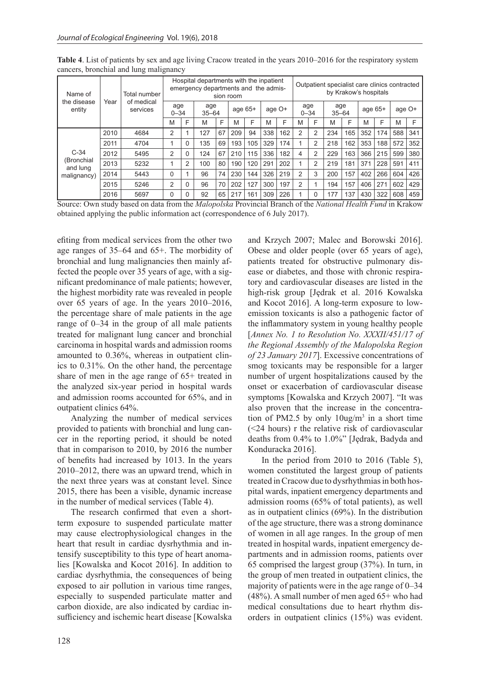| Name of<br>the disease<br>entity | Year | Total number           |                 |          | Hospital departments with the inpatient<br>emergency departments and the admis- |    | sion room |     |        | Outpatient specialist care clinics contracted<br>by Krakow's hospitals |                 |          |                  |     |           |     |        |     |
|----------------------------------|------|------------------------|-----------------|----------|---------------------------------------------------------------------------------|----|-----------|-----|--------|------------------------------------------------------------------------|-----------------|----------|------------------|-----|-----------|-----|--------|-----|
|                                  |      | of medical<br>services | age<br>$0 - 34$ |          | age<br>$35 - 64$                                                                |    | age $65+$ |     | age O+ |                                                                        | age<br>$0 - 34$ |          | age<br>$35 - 64$ |     | age $65+$ |     | age O+ |     |
|                                  |      |                        | M               | F        | M                                                                               | F  | M         | F   | M      | F                                                                      | M               | F        | M                | F   | M         | F   | M      | F   |
|                                  | 2010 | 4684                   | 2               |          | 127                                                                             | 67 | 209       | 94  | 338    | 162                                                                    | 2               | 2        | 234              | 165 | 352       | 174 | 588    | 341 |
|                                  | 2011 | 4704                   |                 | $\Omega$ | 135                                                                             | 69 | 193       | 105 | 329    | 174                                                                    |                 | 2        | 218              | 162 | 353       | 188 | 572    | 352 |
| $C-34$                           | 2012 | 5495                   | 2               | $\Omega$ | 124                                                                             | 67 | 210       | 115 | 336    | 182                                                                    | 4               | 2        | 229              | 163 | 366       | 215 | 599    | 380 |
| (Bronchial<br>and lung           | 2013 | 5232                   |                 | 2        | 100                                                                             | 80 | 190       | 120 | 291    | 202                                                                    |                 | 2        | 219              | 181 | 371       | 228 | 591    | 411 |
| malignancy)                      | 2014 | 5443                   | $\Omega$        |          | 96                                                                              | 74 | 230       | 144 | 326    | 219                                                                    | 2               | 3        | 200              | 157 | 402       | 266 | 604    | 426 |
|                                  | 2015 | 5246                   | 2               | $\Omega$ | 96                                                                              | 70 | 202       | 127 | 300    | 197                                                                    | 2               |          | 194              | 157 | 406       | 271 | 602    | 429 |
|                                  | 2016 | 5697                   | 0               | 0        | 92                                                                              | 65 | 217       | 161 | 309    | 226                                                                    |                 | $\Omega$ | 177              | 137 | 430       | 322 | 608    | 459 |

**Table 4**. List of patients by sex and age living Cracow treated in the years 2010–2016 for the respiratory system cancers, bronchial and lung malignancy

Source: Own study based on data from the *Malopolska* Provincial Branch of the *National Health Fund* in Krakow obtained applying the public information act (correspondence of 6 July 2017).

efiting from medical services from the other two age ranges of 35–64 and 65+. The morbidity of bronchial and lung malignancies then mainly affected the people over 35 years of age, with a significant predominance of male patients; however, the highest morbidity rate was revealed in people over 65 years of age. In the years 2010–2016, the percentage share of male patients in the age range of 0–34 in the group of all male patients treated for malignant lung cancer and bronchial carcinoma in hospital wards and admission rooms amounted to 0.36%, whereas in outpatient clinics to 0.31%. On the other hand, the percentage share of men in the age range of 65+ treated in the analyzed six-year period in hospital wards and admission rooms accounted for 65%, and in outpatient clinics 64%.

Analyzing the number of medical services provided to patients with bronchial and lung cancer in the reporting period, it should be noted that in comparison to 2010, by 2016 the number of benefits had increased by 1013. In the years 2010–2012, there was an upward trend, which in the next three years was at constant level. Since 2015, there has been a visible, dynamic increase in the number of medical services (Table 4).

The research confirmed that even a shortterm exposure to suspended particulate matter may cause electrophysiological changes in the heart that result in cardiac dysrhythmia and intensify susceptibility to this type of heart anomalies [Kowalska and Kocot 2016]. In addition to cardiac dysrhythmia, the consequences of being exposed to air pollution in various time ranges, especially to suspended particulate matter and carbon dioxide, are also indicated by cardiac insufficiency and ischemic heart disease [Kowalska

and Krzych 2007; Malec and Borowski 2016]. Obese and older people (over 65 years of age), patients treated for obstructive pulmonary disease or diabetes, and those with chronic respiratory and cardiovascular diseases are listed in the high-risk group [Jędrak et al. 2016 Kowalska and Kocot 2016]. A long-term exposure to lowemission toxicants is also a pathogenic factor of the inflammatory system in young healthy people [*Annex No. 1 to Resolution No. XXXII/451/17 of the Regional Assembly of the Malopolska Region of 23 January 2017*]. Excessive concentrations of smog toxicants may be responsible for a larger number of urgent hospitalizations caused by the onset or exacerbation of cardiovascular disease symptoms [Kowalska and Krzych 2007]. "It was also proven that the increase in the concentration of PM2.5 by only  $10\mu g/m^3$  in a short time (<24 hours) r the relative risk of cardiovascular deaths from 0.4% to 1.0%" [Jędrak, Badyda and Konduracka 2016].

In the period from 2010 to 2016 (Table 5), women constituted the largest group of patients treated in Cracow due to dysrhythmias in both hospital wards, inpatient emergency departments and admission rooms (65% of total patients), as well as in outpatient clinics (69%). In the distribution of the age structure, there was a strong dominance of women in all age ranges. In the group of men treated in hospital wards, inpatient emergency departments and in admission rooms, patients over 65 comprised the largest group (37%). In turn, in the group of men treated in outpatient clinics, the majority of patients were in the age range of 0–34 (48%). A small number of men aged 65+ who had medical consultations due to heart rhythm disorders in outpatient clinics (15%) was evident.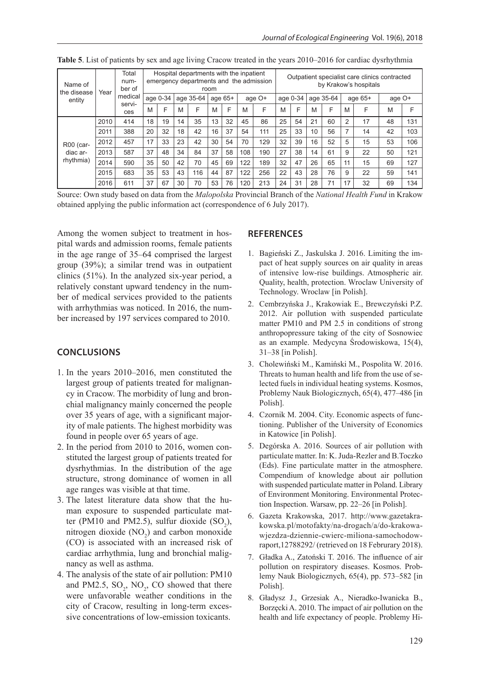| Name of<br>I the disease<br>entity | Year | Total<br>num-<br>ber of | Hospital departments with the inpatient<br>emergency departments and the admission<br>room |    |           |     |         |    |     |        |    | Outpatient specialist care clinics contracted<br>by Krakow's hospitals |           |    |           |    |        |     |  |
|------------------------------------|------|-------------------------|--------------------------------------------------------------------------------------------|----|-----------|-----|---------|----|-----|--------|----|------------------------------------------------------------------------|-----------|----|-----------|----|--------|-----|--|
|                                    |      | medical                 | age 0-34                                                                                   |    | age 35-64 |     | age 65+ |    |     | age O+ |    | age 0-34                                                               | age 35-64 |    | age $65+$ |    | age O+ |     |  |
|                                    |      | servi-<br>ces           | M                                                                                          | F  | M         | F   | M       | F  | M   | F      | M  | F                                                                      | M         | F  | M         | F  | M      | F   |  |
|                                    | 2010 | 414                     | 18                                                                                         | 19 | 14        | 35  | 13      | 32 | 45  | 86     | 25 | 54                                                                     | 21        | 60 | 2         | 17 | 48     | 131 |  |
|                                    | 2011 | 388                     | 20                                                                                         | 32 | 18        | 42  | 16      | 37 | 54  | 111    | 25 | 33                                                                     | 10        | 56 | 7         | 14 | 42     | 103 |  |
| R00 (car-                          | 2012 | 457                     | 17                                                                                         | 33 | 23        | 42  | 30      | 54 | 70  | 129    | 32 | 39                                                                     | 16        | 52 | 5         | 15 | 53     | 106 |  |
| diac ar-<br>rhythmia)              | 2013 | 587                     | 37                                                                                         | 48 | 34        | 84  | 37      | 58 | 108 | 190    | 27 | 38                                                                     | 14        | 61 | 9         | 22 | 50     | 121 |  |
|                                    | 2014 | 590                     | 35                                                                                         | 50 | 42        | 70  | 45      | 69 | 122 | 189    | 32 | 47                                                                     | 26        | 65 | 11        | 15 | 69     | 127 |  |
|                                    | 2015 | 683                     | 35                                                                                         | 53 | 43        | 116 | 44      | 87 | 122 | 256    | 22 | 43                                                                     | 28        | 76 | 9         | 22 | 59     | 141 |  |
|                                    | 2016 | 611                     | 37                                                                                         | 67 | 30        | 70  | 53      | 76 | 120 | 213    | 24 | 31                                                                     | 28        | 71 | 17        | 32 | 69     | 134 |  |

**Table 5**. List of patients by sex and age living Cracow treated in the years 2010–2016 for cardiac dysrhythmia

Source: Own study based on data from the *Malopolska* Provincial Branch of the *National Health Fund* in Krakow obtained applying the public information act (correspondence of 6 July 2017).

Among the women subject to treatment in hospital wards and admission rooms, female patients in the age range of 35–64 comprised the largest group (39%); a similar trend was in outpatient clinics (51%). In the analyzed six-year period, a relatively constant upward tendency in the number of medical services provided to the patients with arrhythmias was noticed. In 2016, the number increased by 197 services compared to 2010.

## **CONCLUSIONS**

- 1. In the years 2010–2016, men constituted the largest group of patients treated for malignancy in Cracow. The morbidity of lung and bronchial malignancy mainly concerned the people over 35 years of age, with a significant majority of male patients. The highest morbidity was found in people over 65 years of age.
- 2. In the period from 2010 to 2016, women constituted the largest group of patients treated for dysrhythmias. In the distribution of the age structure, strong dominance of women in all age ranges was visible at that time.
- 3. The latest literature data show that the human exposure to suspended particulate matter (PM10 and PM2.5), sulfur dioxide  $(SO_2)$ , nitrogen dioxide  $(NO<sub>2</sub>)$  and carbon monoxide (CO) is associated with an increased risk of cardiac arrhythmia, lung and bronchial malignancy as well as asthma.
- 4. The analysis of the state of air pollution: PM10 and PM2.5,  $SO_2$ ,  $NO_2$ ,  $CO$  showed that there were unfavorable weather conditions in the city of Cracow, resulting in long-term excessive concentrations of low-emission toxicants.

## **REFERENCES**

- 1. Bagieński Z., Jaskulska J. 2016. Limiting the impact of heat supply sources on air quality in areas of intensive low-rise buildings. Atmospheric air. Quality, health, protection. Wroclaw University of Technology. Wroclaw [in Polish].
- 2. Cembrzyńska J., Krakowiak E., Brewczyński P.Z. 2012. Air pollution with suspended particulate matter PM10 and PM 2.5 in conditions of strong anthropopressure taking of the city of Sosnowiec as an example. Medycyna Środowiskowa, 15(4), 31–38 [in Polish].
- 3. Cholewiński M., Kamiński M., Pospolita W. 2016. Threats to human health and life from the use of selected fuels in individual heating systems. Kosmos, Problemy Nauk Biologicznych, 65(4), 477–486 [in Polish].
- 4. Czornik M. 2004. City. Economic aspects of functioning. Publisher of the University of Economics in Katowice [in Polish].
- 5. Degórska A. 2016. Sources of air pollution with particulate matter. In: K. Juda-Rezler and B.Toczko (Eds). Fine particulate matter in the atmosphere. Compendium of knowledge about air pollution with suspended particulate matter in Poland. Library of Environment Monitoring. Environmental Protection Inspection. Warsaw, pp. 22–26 [in Polish].
- 6. Gazeta Krakowska, 2017. http://www.gazetakrakowska.pl/motofakty/na-drogach/a/do-krakowawjezdza-dziennie-cwierc-miliona-samochodowraport,12788292/ (retrieved on 18 Februrary 2018).
- 7. Gładka A., Zatoński T. 2016. The influence of air pollution on respiratory diseases. Kosmos. Problemy Nauk Biologicznych, 65(4), pp. 573–582 [in Polish].
- 8. Gładysz J., Grzesiak A., Nieradko-Iwanicka B., Borzęcki A. 2010. The impact of air pollution on the health and life expectancy of people. Problemy Hi-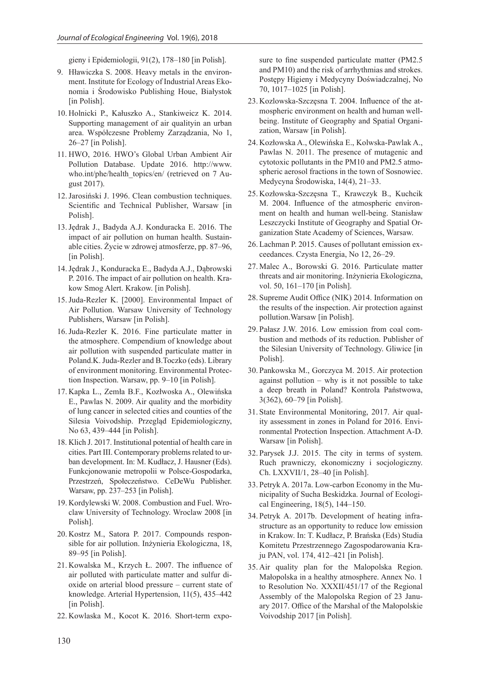gieny i Epidemiologii, 91(2), 178–180 [in Polish].

- 9. Hławiczka S. 2008. Heavy metals in the environment. Institute for Ecology of Industrial Areas Ekonomia i Środowisko Publishing Houe, Białystok [in Polish].
- 10. Holnicki P., Kałuszko A., Stankiweicz K. 2014. Supporting management of air qualityin an urban area. Współczesne Problemy Zarządzania, No 1, 26–27 [in Polish].
- 11. HWO, 2016. HWO's Global Urban Ambient Air Pollution Database. Update 2016. http://www. who.int/phe/health\_topics/en/ (retrieved on 7 August 2017).
- 12.Jarosiński J. 1996. Clean combustion techniques. Scientific and Technical Publisher, Warsaw [in Polish].
- 13.Jędrak J., Badyda A.J. Konduracka E. 2016. The impact of air pollution on human health. Sustainable cities. Życie w zdrowej atmosferze, pp. 87–96, [in Polish].
- 14.Jędrak J., Konduracka E., Badyda A.J., Dąbrowski P. 2016. The impact of air pollution on health. Krakow Smog Alert. Krakow. [in Polish].
- 15.Juda-Rezler K. [2000]. Environmental Impact of Air Pollution. Warsaw University of Technology Publishers, Warsaw [in Polish].
- 16.Juda-Rezler K. 2016. Fine particulate matter in the atmosphere. Compendium of knowledge about air pollution with suspended particulate matter in Poland.K. Juda-Rezler and B.Toczko (eds). Library of environment monitoring. Environmental Protection Inspection. Warsaw, pp. 9–10 [in Polish].
- 17. Kapka L., Zemła B.F., Kozłwoska A., Olewińska E., Pawlas N. 2009. Air quality and the morbidity of lung cancer in selected cities and counties of the Silesia Voivodship. Przegląd Epidemiologiczny, No 63, 439–444 [in Polish].
- 18. Klich J. 2017. Institutional potential of health care in cities. Part III. Contemporary problems related to urban development. In: M. Kudłacz, J. Hausner (Eds). Funkcjonowanie metropolii w Polsce-Gospodarka, Przestrzeń, Społeczeństwo. CeDeWu Publisher. Warsaw, pp. 237–253 [in Polish].
- 19. Kordylewski W. 2008. Combustion and Fuel. Wroclaw University of Technology. Wroclaw 2008 [in Polish].
- 20. Kostrz M., Satora P. 2017. Compounds responsible for air pollution. Inżynieria Ekologiczna, 18, 89–95 [in Polish].
- 21. Kowalska M., Krzych Ł. 2007. The influence of air polluted with particulate matter and sulfur dioxide on arterial blood pressure – current state of knowledge. Arterial Hypertension, 11(5), 435–442 [in Polish].
- 22. Kowlaska M., Kocot K. 2016. Short-term expo-

sure to fine suspended particulate matter (PM2.5 and PM10) and the risk of arrhythmias and strokes. Postępy Higieny i Medycyny Doświadczalnej, No 70, 1017–1025 [in Polish].

- 23. Kozlowska-Szczęsna T. 2004. Influence of the atmospheric environment on health and human wellbeing. Institute of Geography and Spatial Organization, Warsaw [in Polish].
- 24. Kozłowska A., Olewińska E., Kolwska-Pawlak A., Pawlas N. 2011. The presence of mutagenic and cytotoxic pollutants in the PM10 and PM2.5 atmospheric aerosol fractions in the town of Sosnowiec. Medycyna Środowiska, 14(4), 21–33.
- 25. Kozłowska-Szczęsna T., Krawczyk B., Kuchcik M. 2004. Influence of the atmospheric environment on health and human well-being. Stanisław Leszczycki Institute of Geography and Spatial Organization State Academy of Sciences, Warsaw.
- 26. Lachman P. 2015. Causes of pollutant emission exceedances. Czysta Energia, No 12, 26–29.
- 27. Malec A., Borowski G. 2016. Particulate matter threats and air monitoring. Inżynieria Ekologiczna, vol. 50, 161–170 [in Polish].
- 28. Supreme Audit Office (NIK) 2014. Information on the results of the inspection. Air protection against pollution.Warsaw [in Polish].
- 29. Pałasz J.W. 2016. Low emission from coal combustion and methods of its reduction. Publisher of the Silesian University of Technology. Gliwice [in Polish].
- 30. Pankowska M., Gorczyca M. 2015. Air protection against pollution – why is it not possible to take a deep breath in Poland? Kontrola Państwowa, 3(362), 60–79 [in Polish].
- 31. State Environmental Monitoring, 2017. Air quality assessment in zones in Poland for 2016. Environmental Protection Inspection. Attachment A-D. Warsaw [in Polish].
- 32. Parysek J.J. 2015. The city in terms of system. Ruch prawniczy, ekonomiczny i socjologiczny. Ch. LXXVII/1, 28–40 [in Polish].
- 33. Petryk A. 2017a. Low-carbon Economy in the Municipality of Sucha Beskidzka. Journal of Ecological Engineering, 18(5), 144–150.
- 34. Petryk A. 2017b. Development of heating infrastructure as an opportunity to reduce low emission in Krakow. In: T. Kudłacz, P. Brańska (Eds) Studia Komitetu Przestrzennego Zagospodarowania Kraju PAN, vol. 174, 412–421 [in Polish].
- 35. Air quality plan for the Malopolska Region. Małopolska in a healthy atmosphere. Annex No. 1 to Resolution No. XXXII/451/17 of the Regional Assembly of the Malopolska Region of 23 January 2017. Office of the Marshal of the Małopolskie Voivodship 2017 [in Polish].